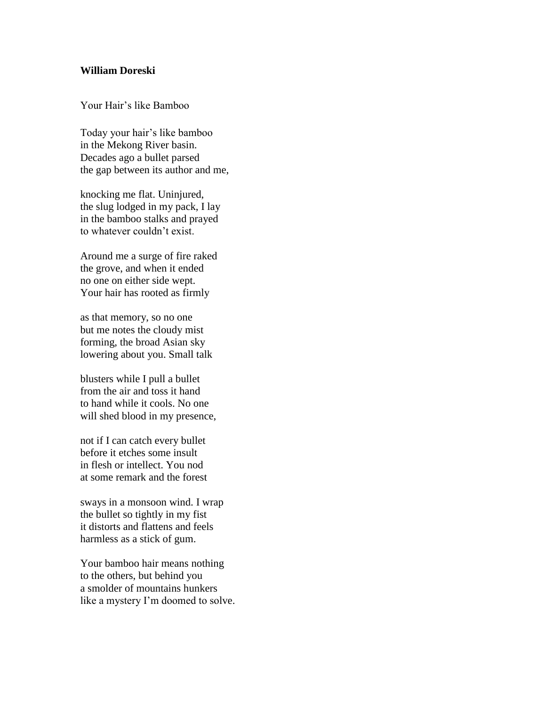## **William Doreski**

Your Hair's like Bamboo

Today your hair's like bamboo in the Mekong River basin. Decades ago a bullet parsed the gap between its author and me,

knocking me flat. Uninjured, the slug lodged in my pack, I lay in the bamboo stalks and prayed to whatever couldn't exist.

Around me a surge of fire raked the grove, and when it ended no one on either side wept. Your hair has rooted as firmly

as that memory, so no one but me notes the cloudy mist forming, the broad Asian sky lowering about you. Small talk

blusters while I pull a bullet from the air and toss it hand to hand while it cools. No one will shed blood in my presence,

not if I can catch every bullet before it etches some insult in flesh or intellect. You nod at some remark and the forest

sways in a monsoon wind. I wrap the bullet so tightly in my fist it distorts and flattens and feels harmless as a stick of gum.

Your bamboo hair means nothing to the others, but behind you a smolder of mountains hunkers like a mystery I'm doomed to solve.